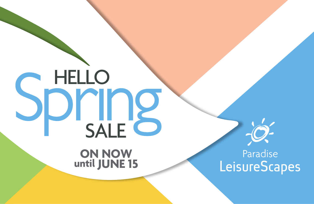# HELLO **SPICING**

**ON NOW until JUNE 15**



Paradise LeisureScapes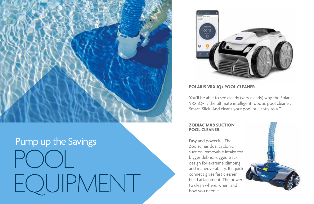

# POOL EQUIPMENT Pump up the Savings



#### **POLARIS VRX IQ+ POOL CLEANER**

You'll be able to see clearly (very clearly) why the Polaris VRX iQ+ is the ultimate intelligent robotic pool cleaner. Smart. Slick. And cleans your pool brilliantly to a T.

#### **ZODIAC MX8 SUCTION POOL CLEANER**

Easy and powerful. The Zodiac has dual cyclonic suction, removable intake for bigger debris, rugged track design for extreme climbing and maneuverability. Its quick connect gives fast cleaner head attachment. The power to clean where, when, and how you need it.

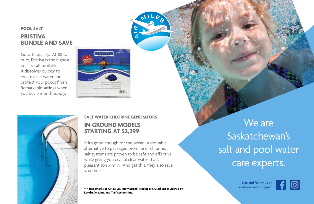#### **POOL SALT PRISTIVA BUNDLE AND SAVE**

Go with quality. At 100% pure, Pristiva is the highest quality salt available. It dissolves quickly to create clear water and protect your pool's finish. Remarkable savings when you buy 3 month supply.





#### **SALT WATER CHLORINE GENERATORS IN-GROUND MODELS STARTING AT \$2,299**

If it's good enough for the ocean...a desirable alternative to packaged bromine or chlorine, salt systems are proven to be safe and effective while giving you crystal clear water that's pleasant to swim in. And get this, they also save you time.

®<sup>™</sup> Trademarks of AIR MILES International Trading B.V. Used under License by **LoyaltyOne, Inc. and Turf Systems Inc.**

We are Saskatchewan's salt and pool water care experts.

Like and follow us on<br>Facebook and Instagram

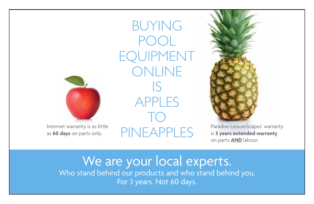

Internet warranty is as little as **60 days** on parts only.

BUYING POOL EQUIPMENT ONLINE IS APPLES TO PINEAPPLES Paradise LeisureScapes' warranty



is **3 years extended warranty**  on parts **AND** labour.

We are your local experts. Who stand behind our products and who stand behind you. For 3 years. Not 60 days.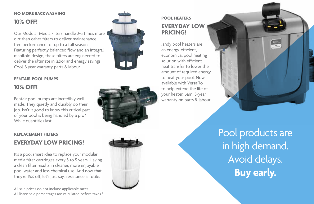#### **NO MORE BACKWASHING 10% OFF!**

Our Modular Media Filters handle 2-3 times more dirt than other filters to deliver maintenancefree performance for up to a full season. Featuring perfectly balanced flow and an integral manifold design, these filters are engineered to deliver the ultimate in labor and energy savings. Cool. 3 year warranty parts & labour.

#### **PENTAIR POOL PUMPS 10% OFF!**

Pentair pool pumps are incredibly well made. They quietly and durably do their job. Isn't it good to know this critical part of your pool is being handled by a pro? While quantities last.

#### **REPLACEMENT FILTERS EVERYDAY LOW PRICING!**

It's a pool smart idea to replace your modular media filter cartridges every 3 to 5 years. Having a clean filter results in cleaner, more enjoyable pool water and less chemical use. And now that they're 15% off, let's just say...resistance is futile.

All sale prices do not include applicable taxes. All listed sale percentages are calculated before taxes.\*



Jandy pool heaters are an energy-efficient, economical pool heating solution with efficient heat transfer to lower the amount of required energy to heat your pool. Now available with VersaFlo to help extend the life of your heater. Bam! 3-year warranty on parts & labour.





Pool products are in high demand. Avoid delays. **Buy early.**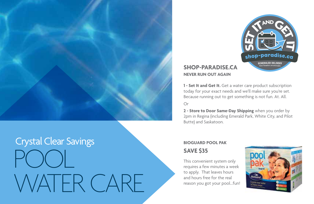

## POOL WATER CARE Crystal Clear Savings



#### **SHOP-PARADISE.CA NEVER RUN OUT AGAIN**

**1 - Set It and Get It.** Get a water care product subscription today for your exact needs and we'll make sure you're set. Because running out to get something is not fun. At. All.

#### Or

**2 - Store to Door Same-Day Shipping** when you order by 2pm in Regina (including Emerald Park, White City, and Pilot Butte) and Saskatoon.

#### **BIOGUARD POOL PAK SAVE \$35**

This convenient system only requires a few minutes a week to apply. That leaves hours and hours free for the real reason you got your pool…fun!

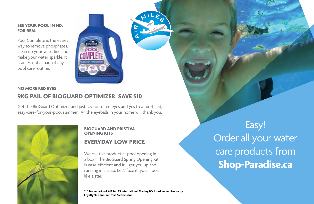#### **SEE YOUR POOL IN HD. FOR REAL.**

Pool Complete is the easiest way to remove phosphates, clean up your waterline and make your water sparkle. It is an essential part of any pool care routine.



#### **NO MORE RED EYES 9KG PAIL OF BIOGUARD OPTIMIZER, SAVE \$10**

Get the BioGuard Optimizer and just say no to red eyes and yes to a fun-filled, easy-care-for-your-pool summer. All the eyeballs in your home will thank you.



#### **BIOGUARD AND PRISTIVA OPENING KITS**

#### **EVERYDAY LOW PRICE**

We call this product a "pool opening in a box." The BioGuard Spring Opening Kit is easy, efficient and it'll get you up and running in a snap. Let's face it, you'll look like a star.

**®TM Trademarks of AIR MILES International Trading B.V. Used under License by LoyaltyOne, Inc. and Turf Systems Inc.**

Easy! Order all your water care products from **Shop-Paradise.ca**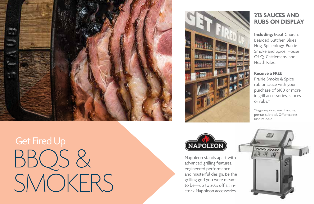



#### **213 SAUCES AND RUBS ON DISPLAY**

**Including:** Meat Church, Bearded Butcher, Blues Hog, Spiceology, Prairie Smoke and Spice, House Of Q, Cattlemans, and Heath Riles.

#### **Receive a FREE**

Prairie Smoke & Spice rub or sauce with your purchase of \$100 or more in grill accessories, sauces or rubs.\*

\*Regular-priced merchandise, pre-tax subtotal. Offer expires June 19, 2022.

BBQS & SMOKERS Get Fired Up



Napoleon stands apart with advanced grilling features, engineered performance and masterful design. Be the grilling god you were meant to be—up to 20% off all instock Napoleon accessories

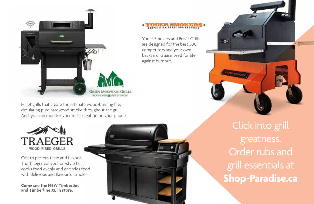

ODER SMOKER

Yoder Smokers and Pellet Grills are designed for the best BBQ competitors and your own backyard. Guaranteed for life against burnout.

Pellet grills that create the ultimate wood-burning fire, circulating pure hardwood smoke throughout the grill. And, you can monitor your meat creation on your phone.



Grill to perfect taste and flavour. The Traeger convection-style heat cooks food evenly and encircles food with delicious and flavourful smoke.

**Come see the NEW Timberline and Timberline XL in store.**





Click into grill greatness. Order rubs and grill essentials at **Shop-Paradise.ca**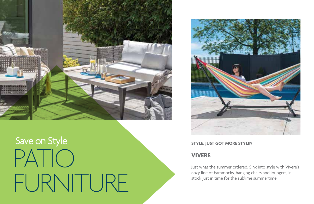

PATIO FURNITURE Save on Style **SAVE STYLE.** JUST GOT MORE STYLIN'



#### **VIVERE**

Just what the summer ordered. Sink into style with Vivere's cozy line of hammocks, hanging chairs and loungers, in stock just in time for the sublime summertime.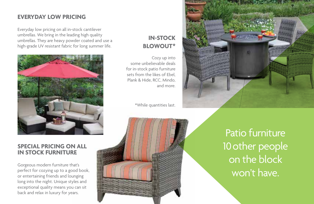#### **EVERYDAY LOW PRICING**

Everyday low pricing on all in-stock cantilever umbrellas. We bring in the leading high quality umbrellas. They are heavy powder coated and use a high-grade UV resistant fabric for long summer life.



#### **SPECIAL PRICING ON ALL IN STOCK FURNITURE**

Gorgeous modern furniture that's perfect for cozying up to a good book, or entertaining friends and lounging long into the night. Unique styles and exceptional quality means you can sit back and relax in luxury for years.

#### **IN-STOCK BLOWOUT\***

Cozy up into some unbelievable deals for in-stock patio furniture sets from the likes of Ebel, Plank & Hide, RCC, Mindo, and more.

\*While quantities last.





Patio furniture 10 other people on the block won't have.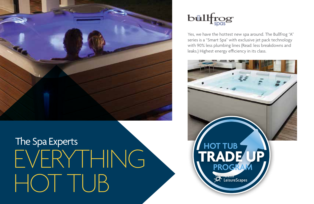

### EVERYTHING HOT TUB The Spa Experts

### bullfrog

Yes, we have the hottest new spa around. The Bullfrog "A" series is a "Smart Spa" with exclusive jet pack technology with 90% less plumbing lines (Read: less breakdowns and leaks.) Highest energy efficiency in its class.

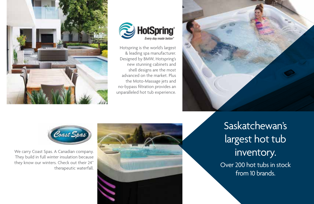



Hotspring is the world's largest & leading spa manufacturer. Designed by BMW, Hotspring's new stunning cabinets and shell designs are the most advanced on the market. Plus the Moto-Massage jets and no-bypass filtration provides an unparalleled hot tub experience.





We carry Coast Spas. A Canadian company. They build in full winter insulation because they know our winters. Check out their 24" therapeutic waterfall.



Saskatchewan's largest hot tub inventory. Over 200 hot tubs in stock from 10 brands.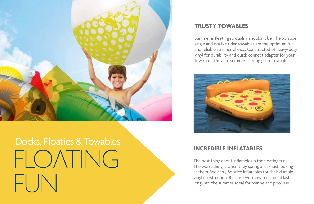

### FLOATING FUN Docks, Floaties & Towables

#### **TRUSTY TOWABLES**

Summer is fleeting so quality shouldn't be. The Solstice single and double rider towables are the optimum fun and reliable summer choice. Constructed of heavy-duty vinyl for durability and quick connect adapter for your tow rope. They are summer's strong go-to towable.



#### **INCREDIBLE INFLATABLES**

The best thing about inflatables is the floating fun. The worst thing is when they spring a leak just looking at them. We carry Solstice inflatables for their durable vinyl construction. Because we know fun should last long into the summer. Ideal for marine and pool use.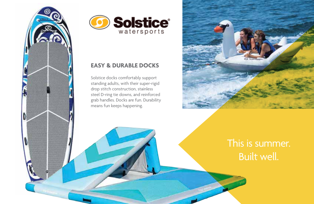



#### **EASY & DURABLE DOCKS**

Solstice docks comfortably support standing adults, with their super-rigid drop stitch construction, stainless steel D-ring tie downs, and reinforced grab handles. Docks are fun. Durability means fun keeps happening.



### This is summer. Built well.